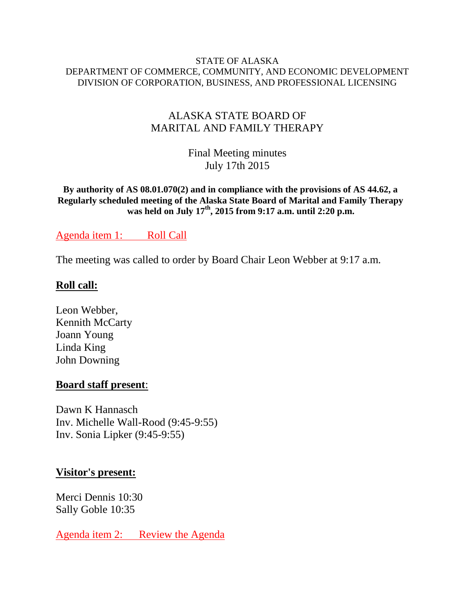#### STATE OF ALASKA DEPARTMENT OF COMMERCE, COMMUNITY, AND ECONOMIC DEVELOPMENT DIVISION OF CORPORATION, BUSINESS, AND PROFESSIONAL LICENSING

## ALASKA STATE BOARD OF MARITAL AND FAMILY THERAPY

Final Meeting minutes July 17th 2015

**By authority of AS 08.01.070(2) and in compliance with the provisions of AS 44.62, a Regularly scheduled meeting of the Alaska State Board of Marital and Family Therapy was held on July 17th, 2015 from 9:17 a.m. until 2:20 p.m.**

## Agenda item 1: Roll Call

The meeting was called to order by Board Chair Leon Webber at 9:17 a.m.

## **Roll call:**

Leon Webber, Kennith McCarty Joann Young Linda King John Downing

#### **Board staff present**:

Dawn K Hannasch Inv. Michelle Wall-Rood (9:45-9:55) Inv. Sonia Lipker (9:45-9:55)

## **Visitor's present:**

Merci Dennis 10:30 Sally Goble 10:35

Agenda item 2: Review the Agenda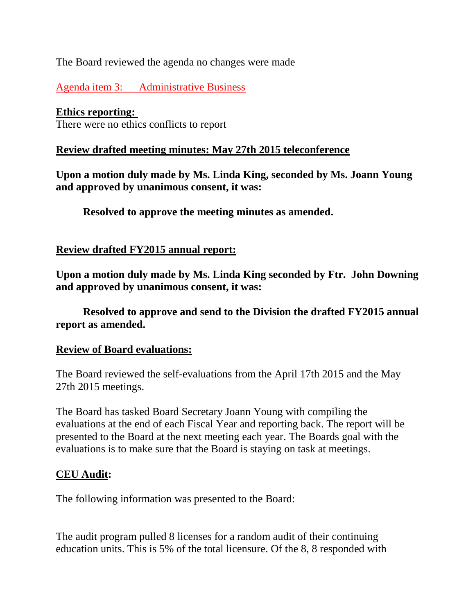## The Board reviewed the agenda no changes were made

Agenda item 3: Administrative Business

## **Ethics reporting:**

There were no ethics conflicts to report

## **Review drafted meeting minutes: May 27th 2015 teleconference**

**Upon a motion duly made by Ms. Linda King, seconded by Ms. Joann Young and approved by unanimous consent, it was:**

 **Resolved to approve the meeting minutes as amended.**

## **Review drafted FY2015 annual report:**

**Upon a motion duly made by Ms. Linda King seconded by Ftr. John Downing and approved by unanimous consent, it was:**

 **Resolved to approve and send to the Division the drafted FY2015 annual report as amended.** 

## **Review of Board evaluations:**

The Board reviewed the self-evaluations from the April 17th 2015 and the May 27th 2015 meetings.

The Board has tasked Board Secretary Joann Young with compiling the evaluations at the end of each Fiscal Year and reporting back. The report will be presented to the Board at the next meeting each year. The Boards goal with the evaluations is to make sure that the Board is staying on task at meetings.

## **CEU Audit:**

The following information was presented to the Board:

The audit program pulled 8 licenses for a random audit of their continuing education units. This is 5% of the total licensure. Of the 8, 8 responded with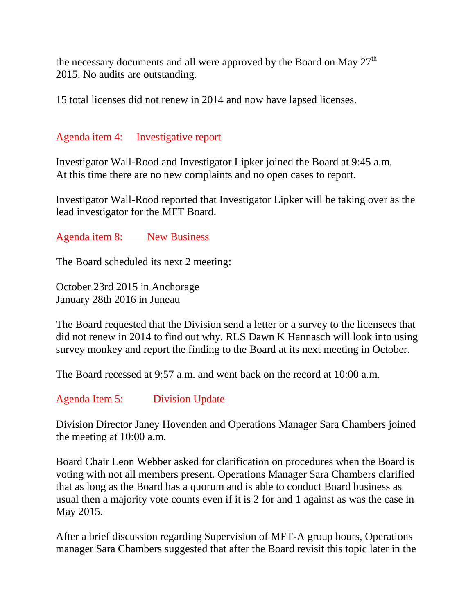the necessary documents and all were approved by the Board on May 27<sup>th</sup> 2015. No audits are outstanding.

15 total licenses did not renew in 2014 and now have lapsed licenses.

Agenda item 4: Investigative report

Investigator Wall-Rood and Investigator Lipker joined the Board at 9:45 a.m. At this time there are no new complaints and no open cases to report.

Investigator Wall-Rood reported that Investigator Lipker will be taking over as the lead investigator for the MFT Board.

Agenda item 8: New Business

The Board scheduled its next 2 meeting:

October 23rd 2015 in Anchorage January 28th 2016 in Juneau

The Board requested that the Division send a letter or a survey to the licensees that did not renew in 2014 to find out why. RLS Dawn K Hannasch will look into using survey monkey and report the finding to the Board at its next meeting in October.

The Board recessed at 9:57 a.m. and went back on the record at 10:00 a.m.

Agenda Item 5: Division Update

Division Director Janey Hovenden and Operations Manager Sara Chambers joined the meeting at 10:00 a.m.

Board Chair Leon Webber asked for clarification on procedures when the Board is voting with not all members present. Operations Manager Sara Chambers clarified that as long as the Board has a quorum and is able to conduct Board business as usual then a majority vote counts even if it is 2 for and 1 against as was the case in May 2015.

After a brief discussion regarding Supervision of MFT-A group hours, Operations manager Sara Chambers suggested that after the Board revisit this topic later in the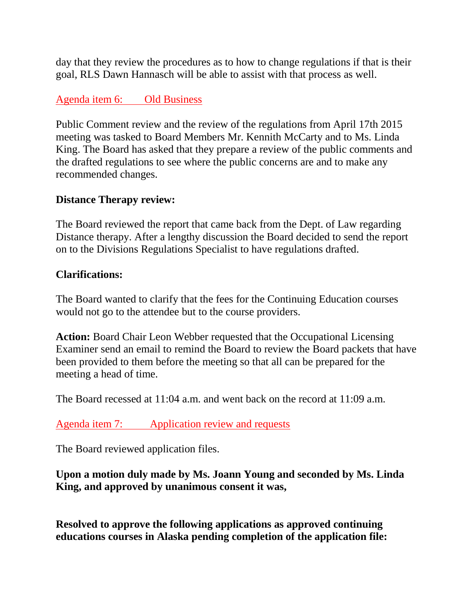day that they review the procedures as to how to change regulations if that is their goal, RLS Dawn Hannasch will be able to assist with that process as well.

# Agenda item 6: Old Business

Public Comment review and the review of the regulations from April 17th 2015 meeting was tasked to Board Members Mr. Kennith McCarty and to Ms. Linda King. The Board has asked that they prepare a review of the public comments and the drafted regulations to see where the public concerns are and to make any recommended changes.

# **Distance Therapy review:**

The Board reviewed the report that came back from the Dept. of Law regarding Distance therapy. After a lengthy discussion the Board decided to send the report on to the Divisions Regulations Specialist to have regulations drafted.

## **Clarifications:**

The Board wanted to clarify that the fees for the Continuing Education courses would not go to the attendee but to the course providers.

**Action:** Board Chair Leon Webber requested that the Occupational Licensing Examiner send an email to remind the Board to review the Board packets that have been provided to them before the meeting so that all can be prepared for the meeting a head of time.

The Board recessed at 11:04 a.m. and went back on the record at 11:09 a.m.

Agenda item 7: Application review and requests

The Board reviewed application files.

**Upon a motion duly made by Ms. Joann Young and seconded by Ms. Linda King, and approved by unanimous consent it was,**

**Resolved to approve the following applications as approved continuing educations courses in Alaska pending completion of the application file:**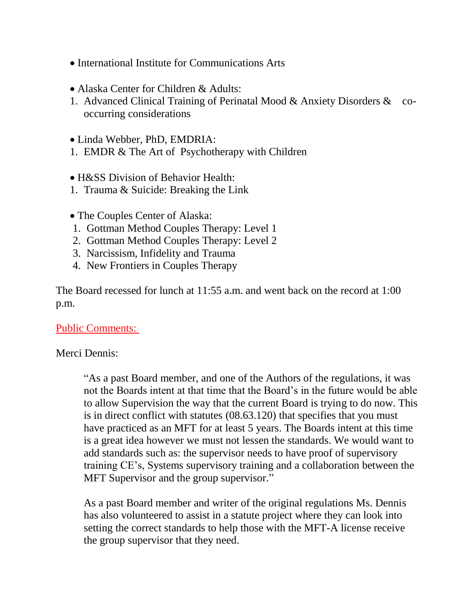- International Institute for Communications Arts
- Alaska Center for Children & Adults:
- 1. Advanced Clinical Training of Perinatal Mood & Anxiety Disorders & cooccurring considerations

Linda Webber, PhD, EMDRIA:

1. EMDR & The Art of Psychotherapy with Children

H&SS Division of Behavior Health:

- 1. Trauma & Suicide: Breaking the Link
- The Couples Center of Alaska:
- 1. Gottman Method Couples Therapy: Level 1
- 2. Gottman Method Couples Therapy: Level 2
- 3. Narcissism, Infidelity and Trauma
- 4. New Frontiers in Couples Therapy

The Board recessed for lunch at 11:55 a.m. and went back on the record at 1:00 p.m.

#### Public Comments:

#### Merci Dennis:

"As a past Board member, and one of the Authors of the regulations, it was not the Boards intent at that time that the Board's in the future would be able to allow Supervision the way that the current Board is trying to do now. This is in direct conflict with statutes (08.63.120) that specifies that you must have practiced as an MFT for at least 5 years. The Boards intent at this time is a great idea however we must not lessen the standards. We would want to add standards such as: the supervisor needs to have proof of supervisory training CE's, Systems supervisory training and a collaboration between the MFT Supervisor and the group supervisor."

As a past Board member and writer of the original regulations Ms. Dennis has also volunteered to assist in a statute project where they can look into setting the correct standards to help those with the MFT-A license receive the group supervisor that they need.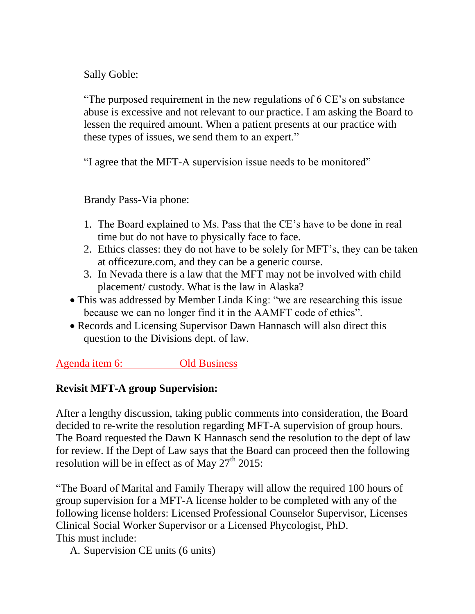Sally Goble:

"The purposed requirement in the new regulations of 6 CE's on substance abuse is excessive and not relevant to our practice. I am asking the Board to lessen the required amount. When a patient presents at our practice with these types of issues, we send them to an expert."

"I agree that the MFT-A supervision issue needs to be monitored"

Brandy Pass-Via phone:

- 1. The Board explained to Ms. Pass that the CE's have to be done in real time but do not have to physically face to face.
- 2. Ethics classes: they do not have to be solely for MFT's, they can be taken at officezure.com, and they can be a generic course.
- 3. In Nevada there is a law that the MFT may not be involved with child placement/ custody. What is the law in Alaska?
- This was addressed by Member Linda King: "we are researching this issue because we can no longer find it in the AAMFT code of ethics".
- Records and Licensing Supervisor Dawn Hannasch will also direct this question to the Divisions dept. of law.

Agenda item 6: Old Business

# **Revisit MFT-A group Supervision:**

After a lengthy discussion, taking public comments into consideration, the Board decided to re-write the resolution regarding MFT-A supervision of group hours. The Board requested the Dawn K Hannasch send the resolution to the dept of law for review. If the Dept of Law says that the Board can proceed then the following resolution will be in effect as of May  $27<sup>th</sup>$  2015:

"The Board of Marital and Family Therapy will allow the required 100 hours of group supervision for a MFT-A license holder to be completed with any of the following license holders: Licensed Professional Counselor Supervisor, Licenses Clinical Social Worker Supervisor or a Licensed Phycologist, PhD. This must include:

A. Supervision CE units (6 units)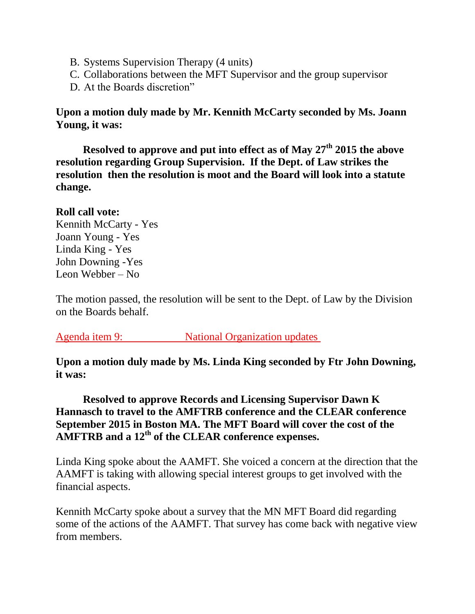- B. Systems Supervision Therapy (4 units)
- C. Collaborations between the MFT Supervisor and the group supervisor
- D. At the Boards discretion"

**Upon a motion duly made by Mr. Kennith McCarty seconded by Ms. Joann Young, it was:**

 **Resolved to approve and put into effect as of May 27th 2015 the above resolution regarding Group Supervision. If the Dept. of Law strikes the resolution then the resolution is moot and the Board will look into a statute change.** 

#### **Roll call vote:**

Kennith McCarty - Yes Joann Young - Yes Linda King - Yes John Downing -Yes Leon Webber – No

The motion passed, the resolution will be sent to the Dept. of Law by the Division on the Boards behalf.

Agenda item 9: National Organization updates

**Upon a motion duly made by Ms. Linda King seconded by Ftr John Downing, it was:**

# **Resolved to approve Records and Licensing Supervisor Dawn K Hannasch to travel to the AMFTRB conference and the CLEAR conference September 2015 in Boston MA. The MFT Board will cover the cost of the AMFTRB and a 12th of the CLEAR conference expenses.**

Linda King spoke about the AAMFT. She voiced a concern at the direction that the AAMFT is taking with allowing special interest groups to get involved with the financial aspects.

Kennith McCarty spoke about a survey that the MN MFT Board did regarding some of the actions of the AAMFT. That survey has come back with negative view from members.